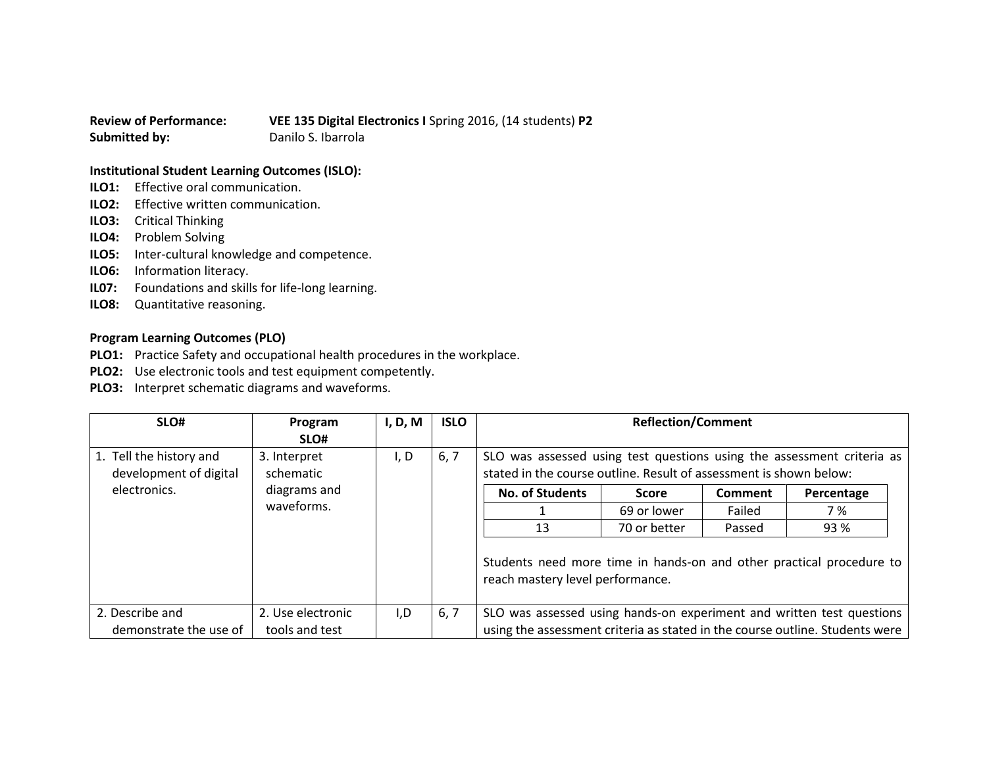**Review of Performance: VEE 135 Digital Electronics I** Spring 2016, (14 students) **P2 Submitted by:** Danilo S. Ibarrola

## **Institutional Student Learning Outcomes (ISLO):**

- **ILO1:** Effective oral communication.
- **ILO2:** Effective written communication.
- **ILO3:** Critical Thinking
- **ILO4:** Problem Solving
- **ILO5:** Inter-cultural knowledge and competence.
- **ILO6:** Information literacy.
- **IL07:** Foundations and skills for life-long learning.
- **ILO8:** Quantitative reasoning.

## **Program Learning Outcomes (PLO)**

- **PLO1:** Practice Safety and occupational health procedures in the workplace.
- **PLO2:** Use electronic tools and test equipment competently.
- **PLO3:** Interpret schematic diagrams and waveforms.

| SLO#                                       | Program           | I, D, M | <b>ISLO</b>            | <b>Reflection/Comment</b>                                                                                                                    |              |            |                                                                              |
|--------------------------------------------|-------------------|---------|------------------------|----------------------------------------------------------------------------------------------------------------------------------------------|--------------|------------|------------------------------------------------------------------------------|
|                                            | SLO#              |         |                        |                                                                                                                                              |              |            |                                                                              |
| 1. Tell the history and                    | 3. Interpret      | I, D    | 6, 7                   | SLO was assessed using test questions using the assessment criteria as<br>stated in the course outline. Result of assessment is shown below: |              |            |                                                                              |
| development of digital                     | schematic         |         |                        |                                                                                                                                              |              |            |                                                                              |
| electronics.<br>diagrams and<br>waveforms. |                   |         | <b>No. of Students</b> | <b>Score</b>                                                                                                                                 | Comment      | Percentage |                                                                              |
|                                            |                   |         |                        |                                                                                                                                              | 69 or lower  | Failed     | 7 %                                                                          |
|                                            |                   |         |                        | 13                                                                                                                                           | 70 or better | Passed     | 93 %                                                                         |
|                                            |                   |         |                        | Students need more time in hands-on and other practical procedure to<br>reach mastery level performance.                                     |              |            |                                                                              |
| 2. Describe and                            | 2. Use electronic | I,D     | 6, 7                   | SLO was assessed using hands-on experiment and written test questions                                                                        |              |            |                                                                              |
| demonstrate the use of                     | tools and test    |         |                        |                                                                                                                                              |              |            | using the assessment criteria as stated in the course outline. Students were |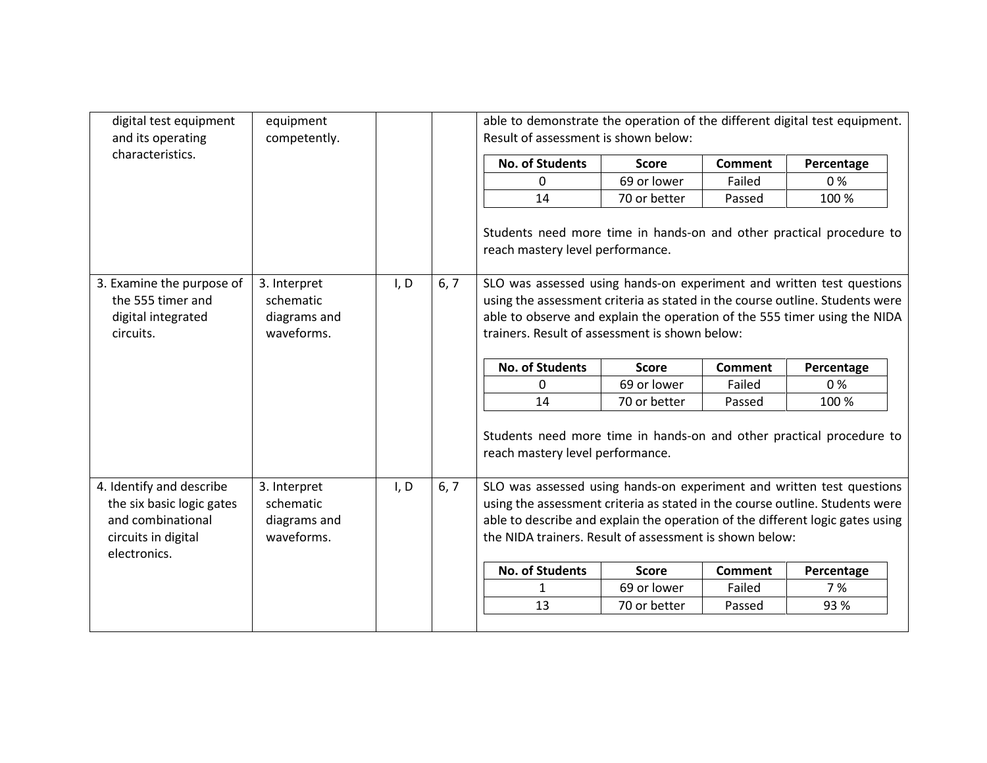| digital test equipment<br>and its operating                                       | equipment<br>competently.                               |      |      | able to demonstrate the operation of the different digital test equipment.<br>Result of assessment is shown below:                                                                                                                                                                   |              |                |            |  |
|-----------------------------------------------------------------------------------|---------------------------------------------------------|------|------|--------------------------------------------------------------------------------------------------------------------------------------------------------------------------------------------------------------------------------------------------------------------------------------|--------------|----------------|------------|--|
| characteristics.                                                                  |                                                         |      |      | <b>No. of Students</b>                                                                                                                                                                                                                                                               | <b>Score</b> | <b>Comment</b> | Percentage |  |
|                                                                                   |                                                         |      |      | 0                                                                                                                                                                                                                                                                                    | 69 or lower  | Failed         | 0%         |  |
|                                                                                   |                                                         |      |      | 14                                                                                                                                                                                                                                                                                   | 70 or better | Passed         | 100 %      |  |
|                                                                                   |                                                         |      |      | Students need more time in hands-on and other practical procedure to<br>reach mastery level performance.                                                                                                                                                                             |              |                |            |  |
| 3. Examine the purpose of<br>the 555 timer and<br>digital integrated<br>circuits. | 3. Interpret<br>schematic<br>diagrams and<br>waveforms. | I, D | 6, 7 | SLO was assessed using hands-on experiment and written test questions<br>using the assessment criteria as stated in the course outline. Students were<br>able to observe and explain the operation of the 555 timer using the NIDA<br>trainers. Result of assessment is shown below: |              |                |            |  |
|                                                                                   |                                                         |      |      | <b>No. of Students</b>                                                                                                                                                                                                                                                               | <b>Score</b> | <b>Comment</b> | Percentage |  |
|                                                                                   |                                                         |      |      | 0                                                                                                                                                                                                                                                                                    | 69 or lower  | Failed         | 0%         |  |
|                                                                                   |                                                         |      |      | 14                                                                                                                                                                                                                                                                                   | 70 or better | Passed         | 100 %      |  |
|                                                                                   |                                                         |      |      | Students need more time in hands-on and other practical procedure to<br>reach mastery level performance.                                                                                                                                                                             |              |                |            |  |
| 4. Identify and describe                                                          | 3. Interpret                                            | I, D | 6, 7 | SLO was assessed using hands-on experiment and written test questions                                                                                                                                                                                                                |              |                |            |  |
| the six basic logic gates                                                         | schematic                                               |      |      | using the assessment criteria as stated in the course outline. Students were                                                                                                                                                                                                         |              |                |            |  |
| and combinational                                                                 | diagrams and                                            |      |      | able to describe and explain the operation of the different logic gates using                                                                                                                                                                                                        |              |                |            |  |
| circuits in digital<br>electronics.                                               | waveforms.                                              |      |      | the NIDA trainers. Result of assessment is shown below:                                                                                                                                                                                                                              |              |                |            |  |
|                                                                                   |                                                         |      |      | <b>No. of Students</b>                                                                                                                                                                                                                                                               | <b>Score</b> | <b>Comment</b> | Percentage |  |
|                                                                                   |                                                         |      |      | $\mathbf{1}$                                                                                                                                                                                                                                                                         | 69 or lower  | Failed         | 7 %        |  |
|                                                                                   |                                                         |      |      | 13                                                                                                                                                                                                                                                                                   | 70 or better | Passed         | 93 %       |  |
|                                                                                   |                                                         |      |      |                                                                                                                                                                                                                                                                                      |              |                |            |  |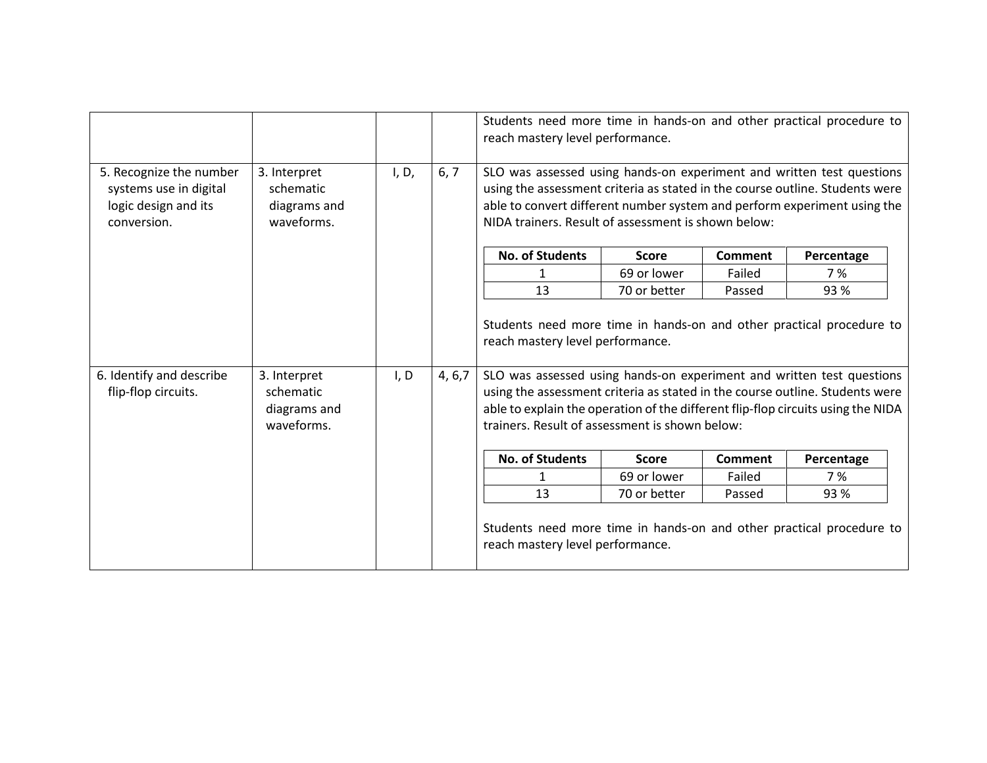|                                                                                          |                                                         |       |         | reach mastery level performance.                                                                                                                                                                                                                                                                                                                                                                        |              |                | Students need more time in hands-on and other practical procedure to |
|------------------------------------------------------------------------------------------|---------------------------------------------------------|-------|---------|---------------------------------------------------------------------------------------------------------------------------------------------------------------------------------------------------------------------------------------------------------------------------------------------------------------------------------------------------------------------------------------------------------|--------------|----------------|----------------------------------------------------------------------|
| 5. Recognize the number<br>systems use in digital<br>logic design and its<br>conversion. | 3. Interpret<br>schematic<br>diagrams and<br>waveforms. | I, D, | 6, 7    | SLO was assessed using hands-on experiment and written test questions<br>using the assessment criteria as stated in the course outline. Students were<br>able to convert different number system and perform experiment using the<br>NIDA trainers. Result of assessment is shown below:                                                                                                                |              |                |                                                                      |
|                                                                                          |                                                         |       |         | <b>No. of Students</b>                                                                                                                                                                                                                                                                                                                                                                                  | <b>Score</b> | Comment        | Percentage                                                           |
|                                                                                          |                                                         |       |         | 1                                                                                                                                                                                                                                                                                                                                                                                                       | 69 or lower  | Failed         | 7 %                                                                  |
|                                                                                          |                                                         |       |         | 13                                                                                                                                                                                                                                                                                                                                                                                                      | 70 or better | Passed         | 93%                                                                  |
| 6. Identify and describe<br>flip-flop circuits.                                          | 3. Interpret<br>schematic<br>diagrams and<br>waveforms. | I, D  | 4, 6, 7 | Students need more time in hands-on and other practical procedure to<br>reach mastery level performance.<br>SLO was assessed using hands-on experiment and written test questions<br>using the assessment criteria as stated in the course outline. Students were<br>able to explain the operation of the different flip-flop circuits using the NIDA<br>trainers. Result of assessment is shown below: |              |                |                                                                      |
|                                                                                          |                                                         |       |         | <b>No. of Students</b>                                                                                                                                                                                                                                                                                                                                                                                  | <b>Score</b> | <b>Comment</b> | Percentage                                                           |
|                                                                                          |                                                         |       |         | 1                                                                                                                                                                                                                                                                                                                                                                                                       | 69 or lower  | Failed         | 7 %                                                                  |
|                                                                                          |                                                         |       |         | 13                                                                                                                                                                                                                                                                                                                                                                                                      | 70 or better | Passed         | 93%                                                                  |
|                                                                                          |                                                         |       |         | Students need more time in hands-on and other practical procedure to<br>reach mastery level performance.                                                                                                                                                                                                                                                                                                |              |                |                                                                      |